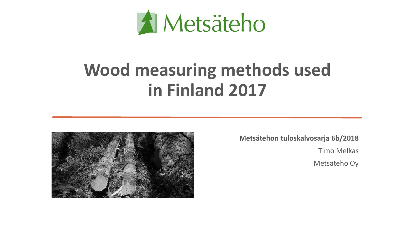

# **Wood measuring methods used in Finland 2017**



**Metsätehon tuloskalvosarja 6b/2018** Timo Melkas Metsäteho Oy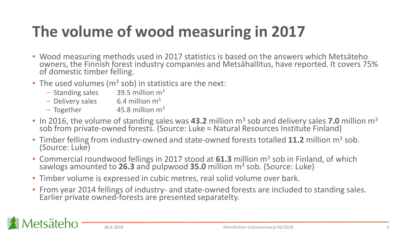# **The volume of wood measuring in 2017**

- Wood measuring methods used in 2017 statistics is based on the answers which Metsäteho owners, the Finnish forest industry companies and Metsähallitus, have reported. It covers 75% of domestic timber felling.
- The used volumes ( $m<sup>3</sup>$  sob) in statistics are the next:
	- $-$  Standing sales 39.5 million m<sup>3</sup>
	- $-$  Delivery sales 6.4 million  $m<sup>3</sup>$
	- $-$  Together 45.8 million m<sup>3</sup>
- In 2016, the volume of standing sales was **43.2** million m<sup>3</sup> sob and delivery sales 7.0 million m<sup>3</sup> sob from private-owned forests. (Source: Luke = Natural Resources Institute Finland)
- Timber felling from industry-owned and state-owned forests totalled 11.2 million m<sup>3</sup> sob. (Source: Luke)
- Commercial roundwood fellings in 2017 stood at 61.3 million m<sup>3</sup> sob in Finland, of which sawlogs amounted to **26.3** and pulpwood **35.0** million m3 sob. (Source: Luke)
- Timber volume is expressed in cubic metres, real solid volume over bark.
- From year 2014 fellings of industry- and state-owned forests are included to standing sales. Earlier private owned-forests are presented separatelty.

etsäteho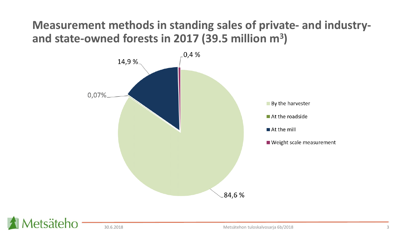### **Measurement methods in standing sales of private- and industryand state-owned forests in 2017 (39.5 million m3)**



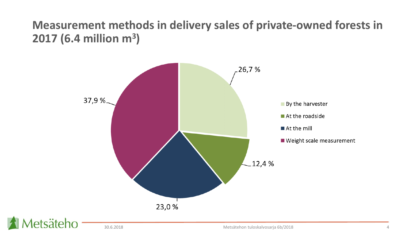### **Measurement methods in delivery sales of private-owned forests in 2017 (6.4 million m3)**

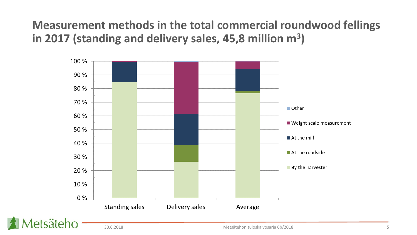### Measurement methods in the total commercial roundwood fellings in 2017 (standing and delivery sales, 45,8 million m<sup>3</sup>)

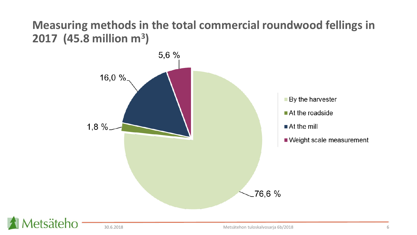### Measuring methods in the total commercial roundwood fellings in 2017 (45.8 million  $m^3$ )

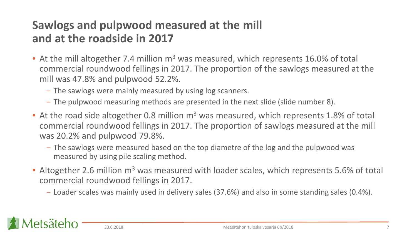### **Sawlogs and pulpwood measured at the mill and at the roadside in 2017**

- At the mill altogether 7.4 million  $m<sup>3</sup>$  was measured, which represents 16.0% of total commercial roundwood fellings in 2017. The proportion of the sawlogs measured at the mill was 47.8% and pulpwood 52.2%.
	- ‒ The sawlogs were mainly measured by using log scanners.
	- ‒ The pulpwood measuring methods are presented in the next slide (slide number 8).
- At the road side altogether 0.8 million  $m<sup>3</sup>$  was measured, which represents 1.8% of total commercial roundwood fellings in 2017. The proportion of sawlogs measured at the mill was 20.2% and pulpwood 79.8%.
	- The sawlogs were measured based on the top diametre of the log and the pulpwood was measured by using pile scaling method.
- Altogether 2.6 million m<sup>3</sup> was measured with loader scales, which represents 5.6% of total commercial roundwood fellings in 2017.
	- ‒ Loader scales was mainly used in delivery sales (37.6%) and also in some standing sales (0.4%).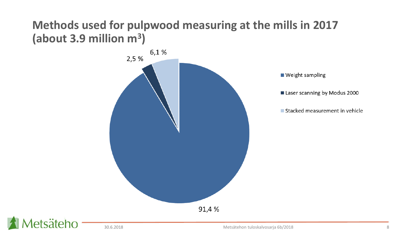### **Methods used for pulpwood measuring at the mills in 2017 (about 3.9 million m3)**

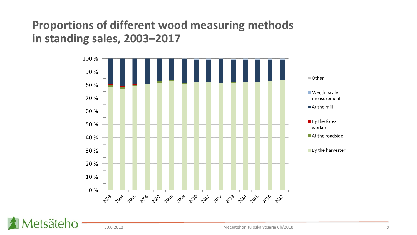#### **Proportions of different wood measuring methods** in standing sales, 2003-2017



etsäteho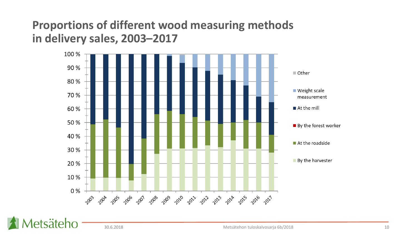#### **Proportions of different wood measuring methods** in delivery sales, 2003-2017



etsäteho

30.6.2018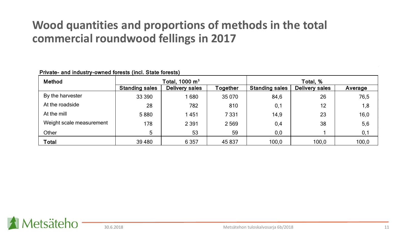#### **Wood quantities and proportions of methods in the total commercial roundwood fellings in 2017**

| Method                   | Total, 1000 $\mathsf{m}^{3}$ |                |          | Total, %              |                |         |  |
|--------------------------|------------------------------|----------------|----------|-----------------------|----------------|---------|--|
|                          | <b>Standing sales</b>        | Delivery sales | Together | <b>Standing sales</b> | Delivery sales | Average |  |
| By the harvester         | 33 390                       | 680            | 35 0 70  | 84,6                  | 26             | 76,5    |  |
| At the roadside          | 28                           | 782            | 810      | 0,1                   | 12             | 1,8     |  |
| At the mill              | 5880                         | 1451           | 7 3 3 1  | 14,9                  | 23             | 16,0    |  |
| Weight scale measurement | 178                          | 2 3 9 1        | 2569     | 0,4                   | 38             | 5,6     |  |
| Other                    | 5                            | 53             | 59       | 0,0                   |                | 0,1     |  |
| <b>Total</b>             | 39 4 80                      | 6 3 5 7        | 45 837   | 100,0                 | 100,0          | 100,0   |  |

Private- and industry-owned forests (incl. State forests)

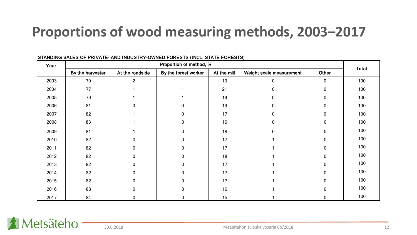## **Proportions of wood measuring methods, 2003–2017**

| Year | Proportion of method, % |                 |                      |             |                          | <b>Total</b> |     |
|------|-------------------------|-----------------|----------------------|-------------|--------------------------|--------------|-----|
|      | By the harvester        | At the roadside | By the forest worker | At the mill | Weight scale measurement | Other        |     |
| 2003 | 79                      | $\overline{2}$  |                      | 19          | 0                        | $\mathbf{0}$ | 100 |
| 2004 | 77                      |                 |                      | 21          | 0                        | $\Omega$     | 100 |
| 2005 | 79                      |                 |                      | 19          | 0                        | $\Omega$     | 100 |
| 2006 | 81                      | n               | U                    | 19          | 0                        | $\Omega$     | 100 |
| 2007 | 82                      |                 | 0                    | 17          |                          | $\Omega$     | 100 |
| 2008 | 83                      |                 | 0                    | 16          | 0                        | $\Omega$     | 100 |
| 2009 | 81                      |                 | 0                    | 18          | 0                        | $\Omega$     | 100 |
| 2010 | 82                      | ŋ               | 0                    | 17          |                          | $\Omega$     | 100 |
| 2011 | 82                      | O               | 0                    | 17          |                          | $\Omega$     | 100 |
| 2012 | 82                      | 0               | 0                    | 18          |                          | <sup>0</sup> | 100 |
| 2013 | 82                      | 0               | 0                    | 17          |                          | $\Omega$     | 100 |
| 2014 | 82                      | 0               | 0                    | 17          |                          | U            | 100 |
| 2015 | 82                      | U               | 0                    | 17          |                          | $\Omega$     | 100 |
| 2016 | 83                      |                 | 0                    | 16          |                          | $\Omega$     | 100 |
| 2017 | 84                      | 0               | 0                    | 15          |                          | 0            | 100 |

#### STANDING SALES OF PRIVATE- AND INDUSTRY-OWNED FORESTS (INCL. STATE FORESTS)